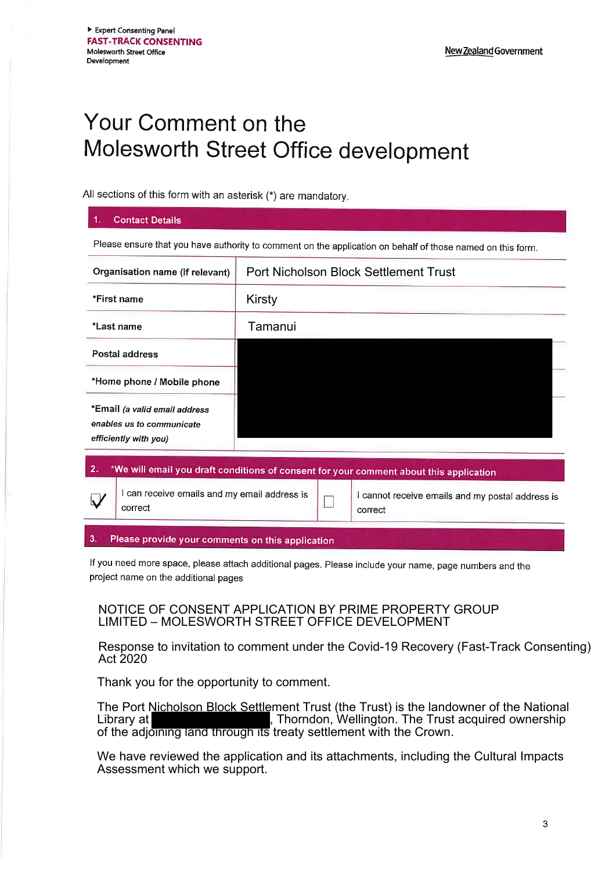# Your Comment on the Molesworth Street Office development

All sections of this form with an asterisk (\*) are mandatory.

#### **Contact Details**

Please ensure that you have authority to comment on the application on behalf of those named on this form.

| Organisation name (if relevant)                                                              |                                                       | <b>Port Nicholson Block Settlement Trust</b> |  |                                                             |
|----------------------------------------------------------------------------------------------|-------------------------------------------------------|----------------------------------------------|--|-------------------------------------------------------------|
| *First name                                                                                  |                                                       | Kirsty                                       |  |                                                             |
| *Last name                                                                                   |                                                       | Tamanui                                      |  |                                                             |
| Postal address                                                                               |                                                       |                                              |  |                                                             |
| *Home phone / Mobile phone                                                                   |                                                       |                                              |  |                                                             |
| *Email (a valid email address<br>enables us to communicate<br>efficiently with you)          |                                                       |                                              |  |                                                             |
| 2.<br>*We will email you draft conditions of consent for your comment about this application |                                                       |                                              |  |                                                             |
|                                                                                              | can receive emails and my email address is<br>correct |                                              |  | I cannot receive emails and my postal address is<br>correct |

#### 3. Please provide your comments on this application

If you need more space, please attach additional pages. Please include your name, page numbers and the project name on the additional pages

### NOTICE OF CONSENT APPLICATION BY PRIME PROPERTY GROUP LIMITED - MOLESWORTH STREET OFFICE DEVELOPMENT

Response to invitation to comment under the Covid-19 Recovery (Fast-Track Consenting) Act 2020

Thank you for the opportunity to comment.

The Port Nicholson Block Settlement Trust (the Trust) is the landowner of the National Library at Library at Library at  $\parallel$ , Thorndon, Wellington. The Trust acquired ownership of the adjoining land through its treaty settlement with the Crown.

We have reviewed the application and its attachments, including the Cultural Impacts Assessment which we support.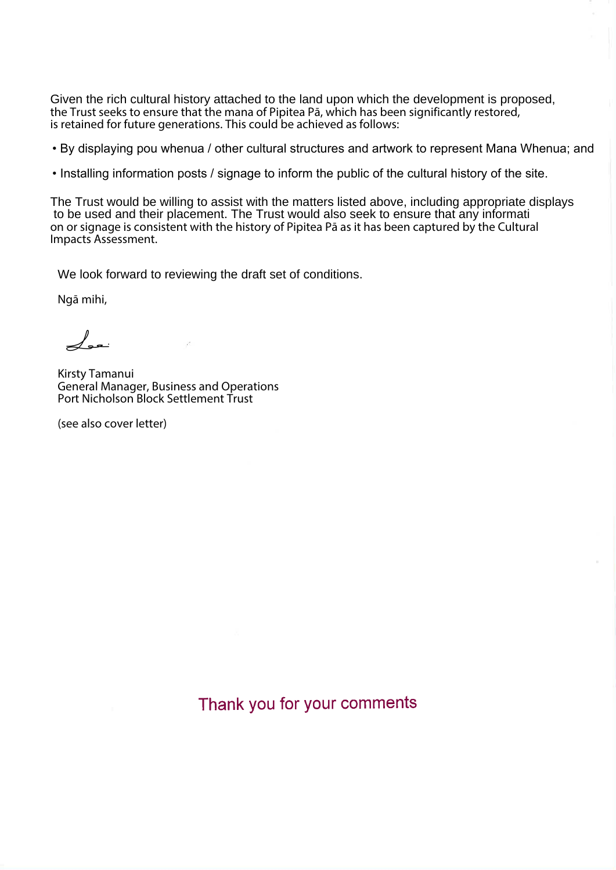Given the rich cultural history attached to the land upon which the development is proposed, the Trust seeks to ensure that the mana of Pipitea Pa, which has been significantly restored, is retained for future generations. This could be achieved as follows:

. By displaying pou whenua / other cultural structures and artwork to represent Mana Whenua; and

. Installing information posts / signage to inform the public of the cultural history of the site.

The Trust would be willing to assist with the matters listed above, including appropriate displays to be used and their placement. The Trust would also seek to ensure that any informati on or signage is consistent with the history of Pipitea Pa as it has been captured by the Cultural Impacts Assessment.

We look forward to reviewing the draft set of conditions.

Ngā mihi,

 $\measuredangle$ 

Kirsty Tamanui **General Manager, Business and Operations** Port Nicholson Block Settlement Trust

(see also cover letter)

Thank you for your comments